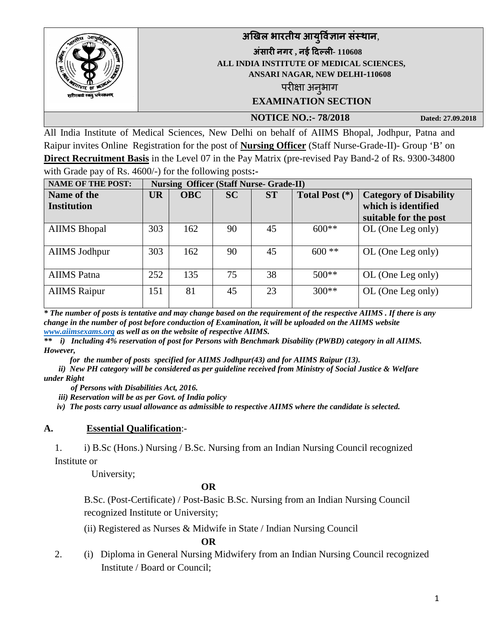|                             | अखिल भारतीय आयुर्विज्ञान संस्थान,                            |
|-----------------------------|--------------------------------------------------------------|
|                             | अंसारी नगर, नई दिल्ली- 110608                                |
|                             | ALL INDIA INSTITUTE OF MEDICAL SCIENCES,                     |
|                             | ANSARI NAGAR, NEW DELHI-110608                               |
| $ \alpha$ <sup>0</sup>      | परीक्षा अनुभाग                                               |
| शुरीरमारां रक्लु धर्मसाधनम् | <b>EXAMINATION SECTION</b>                                   |
|                             | $\mathbf{H}$<br>$\overline{a}$ $\overline{a}$ $\overline{a}$ |

**NOTICE NO.:- 78/2018** Dated: 27.09.2018

All India Institute of Medical Sciences, New Delhi on behalf of AIIMS Bhopal, Jodhpur, Patna and Raipur invites Online Registration for the post of **Nursing Officer** (Staff Nurse-Grade-II)- Group 'B' on **Direct Recruitment Basis** in the Level 07 in the Pay Matrix (pre-revised Pay Band-2 of Rs. 9300-34800 with Grade pay of Rs. 4600/-) for the following posts**:-** 

| <b>NAME OF THE POST:</b>          | <b>Nursing Officer (Staff Nurse- Grade-II)</b> |            |           |           |                |                                                                               |
|-----------------------------------|------------------------------------------------|------------|-----------|-----------|----------------|-------------------------------------------------------------------------------|
| Name of the<br><b>Institution</b> | <b>UR</b>                                      | <b>OBC</b> | <b>SC</b> | <b>ST</b> | Total Post (*) | <b>Category of Disability</b><br>which is identified<br>suitable for the post |
| <b>AIIMS</b> Bhopal               | 303                                            | 162        | 90        | 45        | $600**$        | OL (One Leg only)                                                             |
| <b>AIIMS Jodhpur</b>              | 303                                            | 162        | 90        | 45        | $600$ **       | OL (One Leg only)                                                             |
| <b>AIIMS</b> Patna                | 252                                            | 135        | 75        | 38        | $500**$        | OL (One Leg only)                                                             |
| <b>AIIMS</b> Raipur               | 151                                            | 81         | 45        | 23        | $300**$        | OL (One Leg only)                                                             |

*\* The number of posts is tentative and may change based on the requirement of the respective AIIMS . If there is any change in the number of post before conduction of Examination, it will be uploaded on the AIIMS website [www.aiimsexams.org](http://www.aiimsexams.org/) as well as on the website of respective AIIMS.* 

*\*\* i) Including 4% reservation of post for Persons with Benchmark Disability (PWBD) category in all AIIMS. However,* 

 *for the number of posts specified for AIIMS Jodhpur(43) and for AIIMS Raipur (13).*

*ii) New PH category will be considered as per guideline received from Ministry of Social Justice & Welfare under Right* 

 *of Persons with Disabilities Act, 2016.*

*iii) Reservation will be as per Govt. of India policy*

*iv) The posts carry usual allowance as admissible to respective AIIMS where the candidate is selected.*

#### **A. Essential Qualification**:-

1. i) B.Sc (Hons.) Nursing / B.Sc. Nursing from an Indian Nursing Council recognized Institute or

University;

#### **OR**

B.Sc. (Post-Certificate) / Post-Basic B.Sc. Nursing from an Indian Nursing Council recognized Institute or University;

(ii) Registered as Nurses & Midwife in State / Indian Nursing Council

**OR**

2. (i) Diploma in General Nursing Midwifery from an Indian Nursing Council recognized Institute / Board or Council;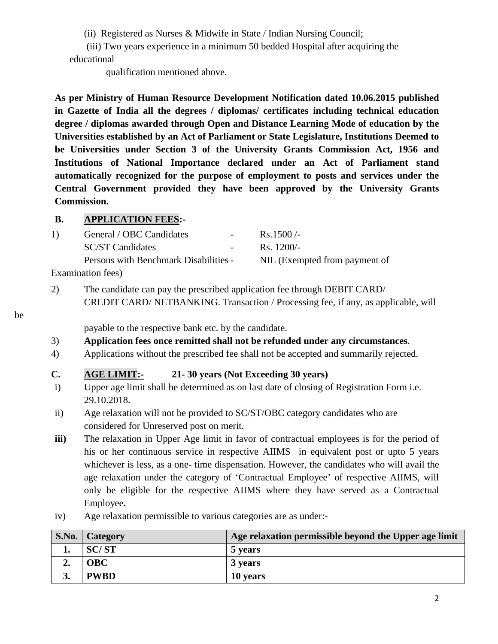(ii) Registered as Nurses & Midwife in State / Indian Nursing Council;

(iii) Two years experience in a minimum 50 bedded Hospital after acquiring the educational

qualification mentioned above.

**As per Ministry of Human Resource Development Notification dated 10.06.2015 published in Gazette of India all the degrees / diplomas/ certificates including technical education degree / diplomas awarded through Open and Distance Learning Mode of education by the Universities established by an Act of Parliament or State Legislature, Institutions Deemed to be Universities under Section 3 of the University Grants Commission Act, 1956 and Institutions of National Importance declared under an Act of Parliament stand automatically recognized for the purpose of employment to posts and services under the Central Government provided they have been approved by the University Grants Commission.** 

## **B. APPLICATION FEES:-**

| 1) | General / OBC Candidates              | $\sim$ 10 $\pm$ | $\text{Rs}.1500/-$            |
|----|---------------------------------------|-----------------|-------------------------------|
|    | <b>SC/ST Candidates</b>               |                 | $\text{Rs.} 1200/-$           |
|    | Persons with Benchmark Disabilities - |                 | NIL (Exempted from payment of |
|    |                                       |                 |                               |

Examination fees)

2) The candidate can pay the prescribed application fee through DEBIT CARD/ CREDIT CARD/ NETBANKING. Transaction / Processing fee, if any, as applicable, will

be

payable to the respective bank etc. by the candidate.

- 3) **Application fees once remitted shall not be refunded under any circumstances**.
- 4) Applications without the prescribed fee shall not be accepted and summarily rejected.

## **C. AGE LIMIT:- 21- 30 years (Not Exceeding 30 years)**

- i) Upper age limit shall be determined as on last date of closing of Registration Form i.e. 29.10.2018.
- ii) Age relaxation will not be provided to SC/ST/OBC category candidates who are considered for Unreserved post on merit.
- **iii**) The relaxation in Upper Age limit in favor of contractual employees is for the period of his or her continuous service in respective AIIMS in equivalent post or upto 5 years whichever is less, as a one- time dispensation. However, the candidates who will avail the age relaxation under the category of 'Contractual Employee' of respective AIIMS, will only be eligible for the respective AIIMS where they have served as a Contractual Employee**.**
- iv) Age relaxation permissible to various categories are as under:-

|    | S.No.   Category | Age relaxation permissible beyond the Upper age limit |
|----|------------------|-------------------------------------------------------|
|    | <b>SC/ST</b>     | 5 years                                               |
| ∸∙ | <b>OBC</b>       | 3 years                                               |
|    | <b>PWBD</b>      | 10 years                                              |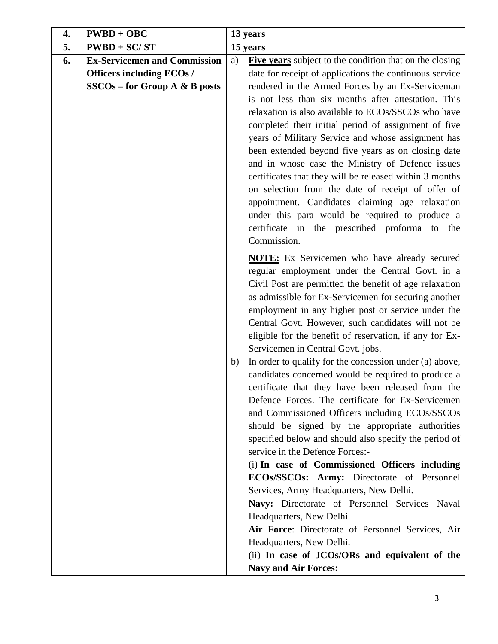| 4. | $PWBD + OBC$                        | 13 years |                                                                                                                |  |
|----|-------------------------------------|----------|----------------------------------------------------------------------------------------------------------------|--|
| 5. | $PWBD + SC/ST$                      | 15 years |                                                                                                                |  |
| 6. | <b>Ex-Servicemen and Commission</b> | a)       | Five years subject to the condition that on the closing                                                        |  |
|    | <b>Officers including ECOs /</b>    |          | date for receipt of applications the continuous service                                                        |  |
|    | $SSCOs$ – for Group A & B posts     |          | rendered in the Armed Forces by an Ex-Serviceman                                                               |  |
|    |                                     |          | is not less than six months after attestation. This                                                            |  |
|    |                                     |          | relaxation is also available to ECOs/SSCOs who have                                                            |  |
|    |                                     |          | completed their initial period of assignment of five                                                           |  |
|    |                                     |          | years of Military Service and whose assignment has                                                             |  |
|    |                                     |          | been extended beyond five years as on closing date                                                             |  |
|    |                                     |          | and in whose case the Ministry of Defence issues                                                               |  |
|    |                                     |          | certificates that they will be released within 3 months                                                        |  |
|    |                                     |          | on selection from the date of receipt of offer of                                                              |  |
|    |                                     |          | appointment. Candidates claiming age relaxation                                                                |  |
|    |                                     |          | under this para would be required to produce a<br>certificate in the prescribed proforma to the                |  |
|    |                                     |          | Commission.                                                                                                    |  |
|    |                                     |          |                                                                                                                |  |
|    |                                     |          | <b>NOTE:</b> Ex Servicemen who have already secured                                                            |  |
|    |                                     |          | regular employment under the Central Govt. in a                                                                |  |
|    |                                     |          | Civil Post are permitted the benefit of age relaxation<br>as admissible for Ex-Servicemen for securing another |  |
|    |                                     |          | employment in any higher post or service under the                                                             |  |
|    |                                     |          | Central Govt. However, such candidates will not be                                                             |  |
|    |                                     |          | eligible for the benefit of reservation, if any for Ex-                                                        |  |
|    |                                     |          | Servicemen in Central Govt. jobs.                                                                              |  |
|    |                                     | b)       | In order to qualify for the concession under (a) above,                                                        |  |
|    |                                     |          | candidates concerned would be required to produce a                                                            |  |
|    |                                     |          | certificate that they have been released from the                                                              |  |
|    |                                     |          | Defence Forces. The certificate for Ex-Servicemen                                                              |  |
|    |                                     |          | and Commissioned Officers including ECOs/SSCOs                                                                 |  |
|    |                                     |          | should be signed by the appropriate authorities                                                                |  |
|    |                                     |          | specified below and should also specify the period of                                                          |  |
|    |                                     |          | service in the Defence Forces:-                                                                                |  |
|    |                                     |          | (i) In case of Commissioned Officers including                                                                 |  |
|    |                                     |          | ECOs/SSCOs: Army: Directorate of Personnel                                                                     |  |
|    |                                     |          | Services, Army Headquarters, New Delhi.                                                                        |  |
|    |                                     |          | Navy: Directorate of Personnel Services Naval<br>Headquarters, New Delhi.                                      |  |
|    |                                     |          | Air Force: Directorate of Personnel Services, Air                                                              |  |
|    |                                     |          | Headquarters, New Delhi.                                                                                       |  |
|    |                                     |          | (ii) In case of JCOs/ORs and equivalent of the                                                                 |  |
|    |                                     |          | <b>Navy and Air Forces:</b>                                                                                    |  |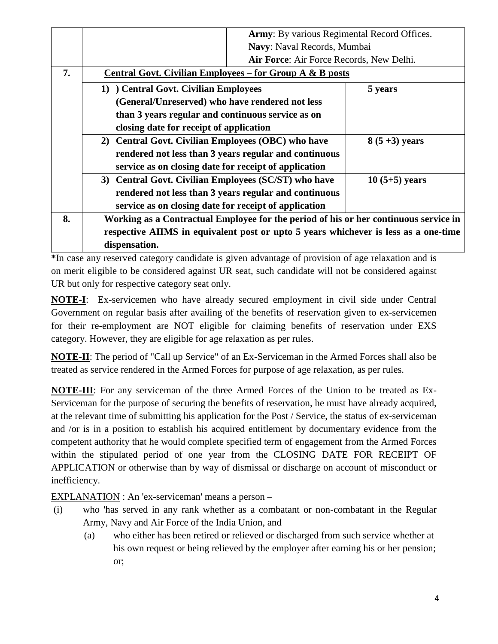|    | Army: By various Regimental Record Offices.                                          |                 |  |  |  |  |  |
|----|--------------------------------------------------------------------------------------|-----------------|--|--|--|--|--|
|    | Navy: Naval Records, Mumbai                                                          |                 |  |  |  |  |  |
|    | Air Force: Air Force Records, New Delhi.                                             |                 |  |  |  |  |  |
| 7. | <b>Central Govt. Civilian Employees – for Group A &amp; B posts</b>                  |                 |  |  |  |  |  |
|    | 1) Central Govt. Civilian Employees<br>5 years                                       |                 |  |  |  |  |  |
|    | (General/Unreserved) who have rendered not less                                      |                 |  |  |  |  |  |
|    | than 3 years regular and continuous service as on                                    |                 |  |  |  |  |  |
|    | closing date for receipt of application                                              |                 |  |  |  |  |  |
|    | 2) Central Govt. Civilian Employees (OBC) who have<br>$8(5+3)$ years                 |                 |  |  |  |  |  |
|    | rendered not less than 3 years regular and continuous                                |                 |  |  |  |  |  |
|    | service as on closing date for receipt of application                                |                 |  |  |  |  |  |
|    | 3) Central Govt. Civilian Employees (SC/ST) who have                                 | $10(5+5)$ years |  |  |  |  |  |
|    | rendered not less than 3 years regular and continuous                                |                 |  |  |  |  |  |
|    | service as on closing date for receipt of application                                |                 |  |  |  |  |  |
| 8. | Working as a Contractual Employee for the period of his or her continuous service in |                 |  |  |  |  |  |
|    | respective AIIMS in equivalent post or upto 5 years whichever is less as a one-time  |                 |  |  |  |  |  |
|    | dispensation.                                                                        |                 |  |  |  |  |  |

**\***In case any reserved category candidate is given advantage of provision of age relaxation and is on merit eligible to be considered against UR seat, such candidate will not be considered against UR but only for respective category seat only.

**NOTE-I**: Ex-servicemen who have already secured employment in civil side under Central Government on regular basis after availing of the benefits of reservation given to ex-servicemen for their re-employment are NOT eligible for claiming benefits of reservation under EXS category. However, they are eligible for age relaxation as per rules.

**NOTE-II**: The period of "Call up Service" of an Ex-Serviceman in the Armed Forces shall also be treated as service rendered in the Armed Forces for purpose of age relaxation, as per rules.

**NOTE-III**: For any serviceman of the three Armed Forces of the Union to be treated as Ex-Serviceman for the purpose of securing the benefits of reservation, he must have already acquired, at the relevant time of submitting his application for the Post / Service, the status of ex-serviceman and /or is in a position to establish his acquired entitlement by documentary evidence from the competent authority that he would complete specified term of engagement from the Armed Forces within the stipulated period of one year from the CLOSING DATE FOR RECEIPT OF APPLICATION or otherwise than by way of dismissal or discharge on account of misconduct or inefficiency.

EXPLANATION : An 'ex-serviceman' means a person –

- (i) who 'has served in any rank whether as a combatant or non-combatant in the Regular Army, Navy and Air Force of the India Union, and
	- (a) who either has been retired or relieved or discharged from such service whether at his own request or being relieved by the employer after earning his or her pension; or;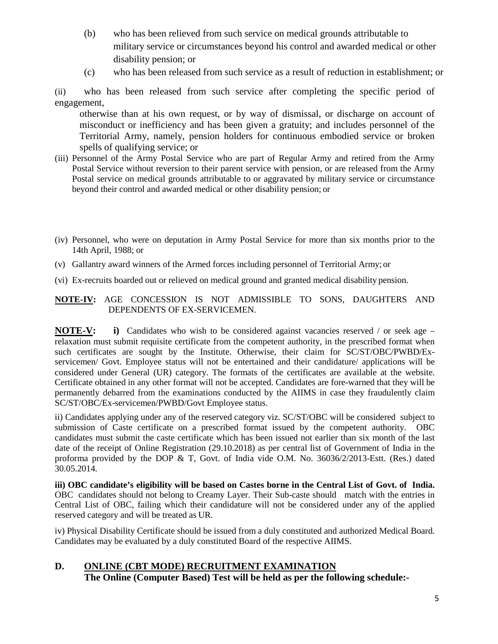- (b) who has been relieved from such service on medical grounds attributable to military service or circumstances beyond his control and awarded medical or other disability pension; or
- (c) who has been released from such service as a result of reduction in establishment; or

(ii) who has been released from such service after completing the specific period of engagement,

otherwise than at his own request, or by way of dismissal, or discharge on account of misconduct or inefficiency and has been given a gratuity; and includes personnel of the Territorial Army, namely, pension holders for continuous embodied service or broken spells of qualifying service; or

- (iii) Personnel of the Army Postal Service who are part of Regular Army and retired from the Army Postal Service without reversion to their parent service with pension, or are released from the Army Postal service on medical grounds attributable to or aggravated by military service or circumstance beyond their control and awarded medical or other disability pension; or
- (iv) Personnel, who were on deputation in Army Postal Service for more than six months prior to the 14th April, 1988; or
- (v) Gallantry award winners of the Armed forces including personnel of Territorial Army; or
- (vi) Ex-recruits boarded out or relieved on medical ground and granted medical disability pension.

#### **NOTE-IV:** AGE CONCESSION IS NOT ADMISSIBLE TO SONS, DAUGHTERS AND DEPENDENTS OF EX-SERVICEMEN.

**NOTE-V: i)** Candidates who wish to be considered against vacancies reserved / or seek age – relaxation must submit requisite certificate from the competent authority, in the prescribed format when such certificates are sought by the Institute. Otherwise, their claim for SC/ST/OBC/PWBD/Exservicemen/ Govt. Employee status will not be entertained and their candidature/ applications will be considered under General (UR) category. The formats of the certificates are available at the website. Certificate obtained in any other format will not be accepted. Candidates are fore-warned that they will be permanently debarred from the examinations conducted by the AIIMS in case they fraudulently claim SC/ST/OBC/Ex-servicemen/PWBD/Govt Employee status.

ii) Candidates applying under any of the reserved category viz. SC/ST/OBC will be considered subject to submission of Caste certificate on a prescribed format issued by the competent authority. OBC candidates must submit the caste certificate which has been issued not earlier than six month of the last date of the receipt of Online Registration (29.10.2018) as per central list of Government of India in the proforma provided by the DOP & T, Govt. of India vide O.M. No. 36036/2/2013-Estt. (Res.) dated 30.05.2014.

**iii) OBC candidate's eligibility will be based on Castes borne in the Central List of Govt. of India.**  OBC candidates should not belong to Creamy Layer. Their Sub-caste should match with the entries in Central List of OBC, failing which their candidature will not be considered under any of the applied reserved category and will be treated as UR.

iv) Physical Disability Certificate should be issued from a duly constituted and authorized Medical Board. Candidates may be evaluated by a duly constituted Board of the respective AIIMS.

# **D. ONLINE (CBT MODE) RECRUITMENT EXAMINATION**

**The Online (Computer Based) Test will be held as per the following schedule:-**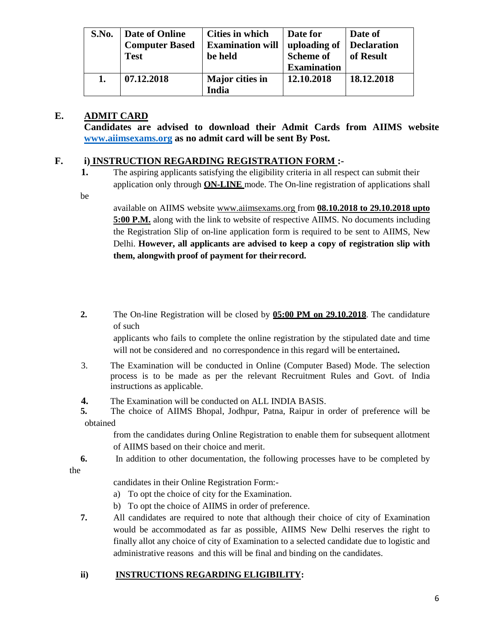| S.No. | Date of Online<br><b>Computer Based</b> | Cities in which<br><b>Examination will</b> | Date for<br>uploading of | Date of<br>Declaration |
|-------|-----------------------------------------|--------------------------------------------|--------------------------|------------------------|
|       | <b>Test</b>                             | be held                                    | <b>Scheme of</b>         | of Result              |
|       |                                         |                                            | <b>Examination</b>       |                        |
|       | 07.12.2018                              | Major cities in                            | 12.10.2018               | 18.12.2018             |
|       |                                         | India                                      |                          |                        |

## **E. ADMIT CARD**

**Candidates are advised to download their Admit Cards from AIIMS website [www.aiimsexams.org](http://www.aiimsexams.org/) as no admit card will be sent By Post.**

## **F. i) INSTRUCTION REGARDING REGISTRATION FORM :-**

**1.** The aspiring applicants satisfying the eligibility criteria in all respect can submit their application only through **ON-LINE** mode. The On-line registration of applications shall

be

available on AIIMS website [www.aiimsexams.org f](http://www.aiimsexams.org/)rom **08.10.2018 to 29.10.2018 upto 5:00 P.M.** along with the link to website of respective AIIMS. No documents including the Registration Slip of on-line application form is required to be sent to AIIMS, New Delhi. **However, all applicants are advised to keep a copy of registration slip with them, alongwith proof of payment for theirrecord.**

**2.** The On-line Registration will be closed by **05:00 PM on 29.10.2018**. The candidature of such

applicants who fails to complete the online registration by the stipulated date and time will not be considered and no correspondence in this regard will be entertained**.**

- 3. The Examination will be conducted in Online (Computer Based) Mode. The selection process is to be made as per the relevant Recruitment Rules and Govt. of India instructions as applicable.
- **4.** The Examination will be conducted on ALL INDIA BASIS.<br> **5.** The choice of AIIMS Bhopal. Jodhnur. Patna. Rainur in
- **5.** The choice of AIIMS Bhopal, Jodhpur, Patna, Raipur in order of preference will be obtained

from the candidates during Online Registration to enable them for subsequent allotment of AIIMS based on their choice and merit.

**6.** In addition to other documentation, the following processes have to be completed by

the

candidates in their Online Registration Form:-

- a) To opt the choice of city for the Examination.
- b) To opt the choice of AIIMS in order of preference.
- **7.** All candidates are required to note that although their choice of city of Examination would be accommodated as far as possible, AIIMS New Delhi reserves the right to finally allot any choice of city of Examination to a selected candidate due to logistic and administrative reasons and this will be final and binding on the candidates.

## **ii) INSTRUCTIONS REGARDING ELIGIBILITY:**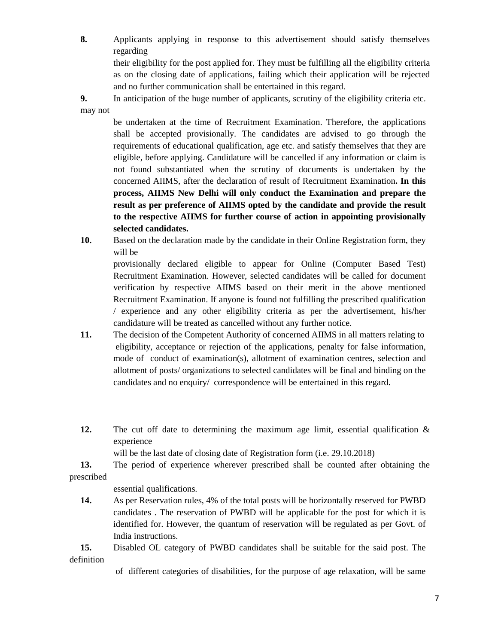**8.** Applicants applying in response to this advertisement should satisfy themselves regarding

their eligibility for the post applied for. They must be fulfilling all the eligibility criteria as on the closing date of applications, failing which their application will be rejected and no further communication shall be entertained in this regard.

**9.** In anticipation of the huge number of applicants, scrutiny of the eligibility criteria etc. may not

be undertaken at the time of Recruitment Examination. Therefore, the applications shall be accepted provisionally. The candidates are advised to go through the requirements of educational qualification, age etc. and satisfy themselves that they are eligible, before applying. Candidature will be cancelled if any information or claim is not found substantiated when the scrutiny of documents is undertaken by the concerned AIIMS, after the declaration of result of Recruitment Examination**. In this process, AIIMS New Delhi will only conduct the Examination and prepare the result as per preference of AIIMS opted by the candidate and provide the result to the respective AIIMS for further course of action in appointing provisionally selected candidates.**

**10.** Based on the declaration made by the candidate in their Online Registration form, they will be

provisionally declared eligible to appear for Online (Computer Based Test) Recruitment Examination. However, selected candidates will be called for document verification by respective AIIMS based on their merit in the above mentioned Recruitment Examination. If anyone is found not fulfilling the prescribed qualification / experience and any other eligibility criteria as per the advertisement, his/her candidature will be treated as cancelled without any further notice.

- **11.** The decision of the Competent Authority of concerned AIIMS in all matters relating to eligibility, acceptance or rejection of the applications, penalty for false information, mode of conduct of examination(s), allotment of examination centres, selection and allotment of posts/ organizations to selected candidates will be final and binding on the candidates and no enquiry/ correspondence will be entertained in this regard.
- **12.** The cut off date to determining the maximum age limit, essential qualification & experience

will be the last date of closing date of Registration form (i.e. 29.10.2018)

**13.** The period of experience wherever prescribed shall be counted after obtaining the prescribed

essential qualifications.

**14.** As per Reservation rules, 4% of the total posts will be horizontally reserved for PWBD candidates . The reservation of PWBD will be applicable for the post for which it is identified for. However, the quantum of reservation will be regulated as per Govt. of India instructions.

**15.** Disabled OL category of PWBD candidates shall be suitable for the said post. The definition

of different categories of disabilities, for the purpose of age relaxation, will be same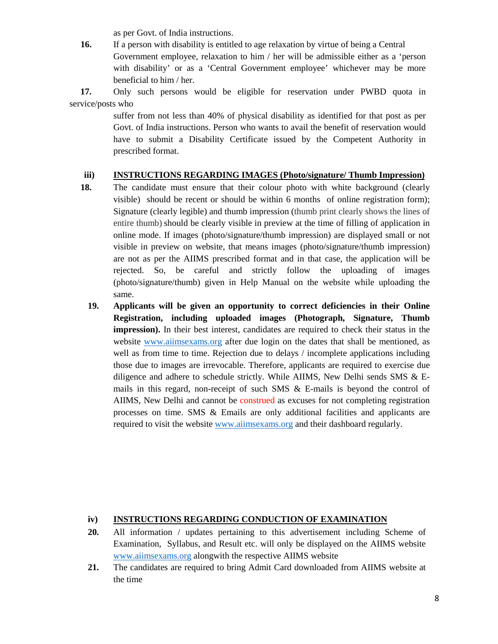as per Govt. of India instructions.

**16.** If a person with disability is entitled to age relaxation by virtue of being a Central Government employee, relaxation to him / her will be admissible either as a 'person with disability' or as a 'Central Government employee' whichever may be more beneficial to him / her.

**17.** Only such persons would be eligible for reservation under PWBD quota in service/posts who

> suffer from not less than 40% of physical disability as identified for that post as per Govt. of India instructions. Person who wants to avail the benefit of reservation would have to submit a Disability Certificate issued by the Competent Authority in prescribed format.

#### **iii) INSTRUCTIONS REGARDING IMAGES (Photo/signature/ Thumb Impression)**

- **18.** The candidate must ensure that their colour photo with white background (clearly visible) should be recent or should be within 6 months of online registration form); Signature (clearly legible) and thumb impression (thumb print clearly shows the lines of entire thumb) should be clearly visible in preview at the time of filling of application in online mode. If images (photo/signature/thumb impression) are displayed small or not visible in preview on website, that means images (photo/signature/thumb impression) are not as per the AIIMS prescribed format and in that case, the application will be rejected. So, be careful and strictly follow the uploading of images (photo/signature/thumb) given in Help Manual on the website while uploading the same.
	- **19. Applicants will be given an opportunity to correct deficiencies in their Online Registration, including uploaded images (Photograph, Signature, Thumb impression).** In their best interest, candidates are required to check their status in the website [www.aiimsexams.org](http://www.aiimsexams.org/) after due login on the dates that shall be mentioned, as well as from time to time. Rejection due to delays / incomplete applications including those due to images are irrevocable. Therefore, applicants are required to exercise due diligence and adhere to schedule strictly. While AIIMS, New Delhi sends SMS & Emails in this regard, non-receipt of such SMS & E-mails is beyond the control of AIIMS, New Delhi and cannot be construed as excuses for not completing registration processes on time. SMS & Emails are only additional facilities and applicants are required to visit the website [www.aiimsexams.org](http://www.aiimsexams.org/) and their dashboard regularly.

## **iv) INSTRUCTIONS REGARDING CONDUCTION OF EXAMINATION**

- **20.** All information / updates pertaining to this advertisement including Scheme of Examination, Syllabus, and Result etc. will only be displayed on the AIIMS website [www.aiimsexams.org](http://www.aiimsexams.org/) alongwith the respective AIIMS website
- **21.** The candidates are required to bring Admit Card downloaded from AIIMS website at the time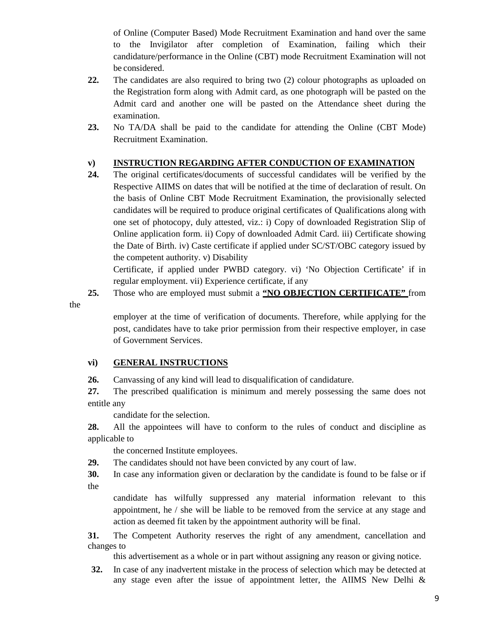of Online (Computer Based) Mode Recruitment Examination and hand over the same to the Invigilator after completion of Examination, failing which their candidature/performance in the Online (CBT) mode Recruitment Examination will not be considered.

- **22.** The candidates are also required to bring two (2) colour photographs as uploaded on the Registration form along with Admit card, as one photograph will be pasted on the Admit card and another one will be pasted on the Attendance sheet during the examination.
- **23.** No TA/DA shall be paid to the candidate for attending the Online (CBT Mode) Recruitment Examination.

### **v) INSTRUCTION REGARDING AFTER CONDUCTION OF EXAMINATION**

**24.** The original certificates/documents of successful candidates will be verified by the Respective AIIMS on dates that will be notified at the time of declaration of result. On the basis of Online CBT Mode Recruitment Examination, the provisionally selected candidates will be required to produce original certificates of Qualifications along with one set of photocopy, duly attested, viz.: i) Copy of downloaded Registration Slip of Online application form. ii) Copy of downloaded Admit Card. iii) Certificate showing the Date of Birth. iv) Caste certificate if applied under SC/ST/OBC category issued by the competent authority. v) Disability

Certificate, if applied under PWBD category. vi) 'No Objection Certificate' if in regular employment. vii) Experience certificate, if any

**25.** Those who are employed must submit a **"NO OBJECTION CERTIFICATE"** from

the

employer at the time of verification of documents. Therefore, while applying for the post, candidates have to take prior permission from their respective employer, in case of Government Services.

#### **vi) GENERAL INSTRUCTIONS**

**26.** Canvassing of any kind will lead to disqualification of candidature.

**27.** The prescribed qualification is minimum and merely possessing the same does not entitle any

candidate for the selection.

**28.** All the appointees will have to conform to the rules of conduct and discipline as applicable to

the concerned Institute employees.

**29.** The candidates should not have been convicted by any court of law.

**30.** In case any information given or declaration by the candidate is found to be false or if the

candidate has wilfully suppressed any material information relevant to this appointment, he / she will be liable to be removed from the service at any stage and action as deemed fit taken by the appointment authority will be final.

**31.** The Competent Authority reserves the right of any amendment, cancellation and changes to

this advertisement as a whole or in part without assigning any reason or giving notice.

**32.** In case of any inadvertent mistake in the process of selection which may be detected at any stage even after the issue of appointment letter, the AIIMS New Delhi &